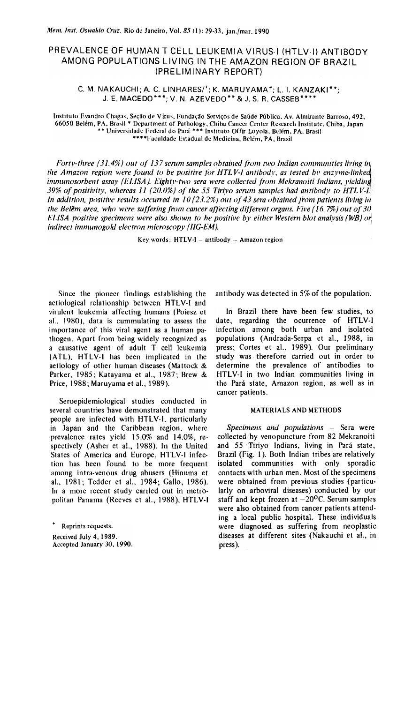# PREVALENCE OF HUMAN T CELL LEUKEMIA VIRUS-I (HTLV-I) ANTIBODY AMONG POPULATIONS LIVING IN THE AMAZON REGION OF BRAZIL (PRELIMINARY REPORT)

C. M. NAKAUCHI; A. C. LINHARES/<sup>+</sup>; K. MARUYAMA<sup>\*</sup>; L. I. KANZAKI<sup>\*\*</sup>; J. E. MACEDO\*\*\*; V. N. AZEVEDO\*\* & J. S. R. CASSEB\*\*\*\*

Instituto Evandro Chagas, Seção de Vírus, Fundação Serviços de Saúde Pública, Av. Almirante Barroso, 492, 66050 Belém, PA, Brasil \* Department of Pathology, Chiba Cancer Center Research Institute, Chiba, Japan \*\* Universidade Federal do Pará \*\*\* Instituto Offir Loyola, Belém, PA, Brasil \*\*\*\* Faculdade Estadual de Medicina, Belém, PA, Brasil

Forty-three (31.4%) out of 137 serum samples obtained from two Indian communities living in the Amazon region were found to be positive for HTLV-I antibody, as tested by enzyme-linked immunosorbent assay (ELISA). Eighty-two sera were collected from Mekranoiti Indians, yielding 39% of positivity, whereas 11 (20.0%) of the 55 Tiriyo serum samples had antibody to HTLV-1. In addition, positive results occurred in 10 (23.2%) out of 43 sera obtained from patients living in the Belem area, who were suffering from cancer affecting different organs. Five (16.7%) out of 30 ELISA positive specimens were also shown to be positive by either Western blot analysis (WB) or indirect immunogold electron microscopy (IIG-EM).

Key words: HTLV-I - antibody -- Amazon region

Since the pioneer findings establishing the aetiological relationship between HTLV-I and virulent leukemia affecting humans (Poiesz et al., 1980), data is cummulating to assess the importance of this viral agent as a human pathogen. Apart from being widely recognized as a causative agent of adult T cell leukemia (ATL), HTLV-1 has been implicated in the aetiology of other human diseases (Mattock & Parker, 1985; Katayama et al., 1987; Brew & Price, 1988; Maruyama et al., 1989).

Seroepidemiological studies conducted in several countries have demonstrated that many people are infected with HTLV-I, particularly in Japan and the Caribbean region, where prevalence rates yield 15.0% and 14.0%, respectively (Asher et al., 1988). In the United States of America and Europe, HTLV-I infection has been found to be more frequent among intra-venous drug abusers (Hinuma et al., 1981; Tedder et al., 1984; Gallo, 1986). In a more recent study carried out in metropolitan Panama (Reeves et al., 1988), HTLV-I antibody was detected in 5% of the population.

In Brazil there have been few studies, to date, regarding the ocurrence of HTLV-I infection among both urban and isolated populations (Andrada-Serpa et al., 1988, in press; Cortes et al., 1989). Our preliminary study was therefore carried out in order to determine the prevalence of antibodies to HTLV-I in two Indian communities living in the Pará state, Amazon region, as well as in cancer patients.

## **MATERIALS AND METHODS**

Specimens and populations - Sera were collected by venopuncture from 82 Mekranoiti and 55 Tiriyo Indians, living in Pará state, Brazil (Fig. 1). Both Indian tribes are relatively isolated communities with only sporadic contacts with urban men. Most of the specimens were obtained from previous studies (particularly on arboviral diseases) conducted by our staff and kept frozen at  $-20^{\circ}$ C. Serum samples were also obtained from cancer patients attending a local public hospital. These individuals were diagnosed as suffering from neoplastic diseases at different sites (Nakauchi et al., in press).

Reprints requests. Received July 4, 1989.

Accepted January 30, 1990.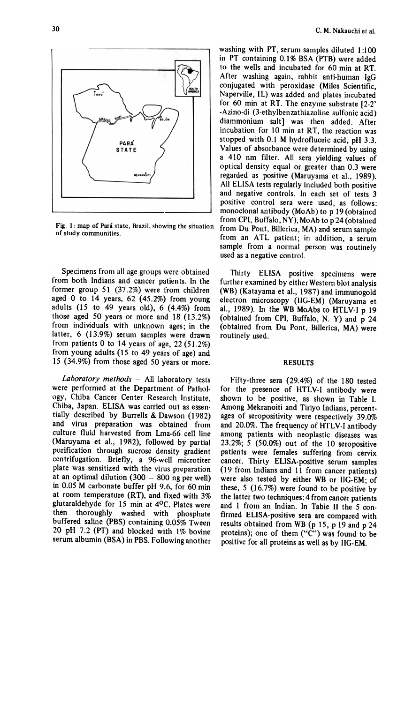$\frac{1}{2}$ PARA **STATE MEXPANS** 

Fig. 1: map of Pará state, Brazil, showing the situation of study communities.

Specimens from all age groups were obtained from both Indians and cancer patients. In the former group 51 (37.2%) were from children aged 0 to 14 years,  $62$  (45.2%) from young adults (15 to 49 years old),  $6(4.4%)$  from those aged 50 years or more and 18 (13.2%) from individuaIs with unknown ages; in the latter, 6 (13.9%) serum samples were drawn from patients O to 14 years of age, 22 (51.2%) from young adults (15 to 49 years of age) and ] 5 (34.9%) from those aged 50 years or more.

Laboratory methods  $-$  All laboratory tests were performed at the Department of Pathology, Chiba Cancer Center Research Institute, Chiba, Japan. ELISA was carried out as essentially described by Burrells & Dawson (1982) and virus preparation was obtained from culture fluid harvested from Lma-66 cell line (Maruyama et aI., 1982), followed by partial purification through sucrose density gradient centrifugation. Briefly, a 96-well microtiter plate was sensitized with the virus preparation at an optimal dilution  $(300 - 800$  ng per well) in 0.05 M carbonate buffer pH 9.6, for 60 min at room temperature (RT), and fixed with 3% glutaraldehyde for 15 min at 4oC. Plates were then thoroughly washed with phosphate buffered saline (PBS) containing 0.05% Tween 20 pH 7.2 (PT) and blocked with  $1\%$  bovine serum albumin (BSA) in PBS. Following another washing with PT, serum samples diluted 1:100 in PT containing 0.1% BSA (PTB) were added to the wells and incubated for 60 min at RT. After washing again, rabbit anti-human IgG conjugated with peroxidase (Miles Scientific, Naperville, IL) was added and plates incubated for 60 min at RT. The enzyme substrate [2-2' -Azino-di (3-ethylbenzathiazoline sulfonic acid) diammonium salt] was then added. After incubation for  $10$  min at RT, the reaction was stopped with 0.1 M hydrofluoric acid, pH 3.3. Values of absorbance were determined by using a 410 nm filter. Ali sera yielding values of optical density equal or greater than 0.3 were regarded as positive (Maruyama et ai., 1989). Ali ELISA tests regularly included both positive and negative controls. In each set of tests 3 positive control sera were used, as follows: monoclonal antibody (MoAb) to p 19 (obtained from CPI, Buffalo, NY), MoAb to p 24 (obtained from Ou Pont, Billerica, MA) and serum sample from an ATL patient; in addition, a serum sample from a normal person was routinely used as a negative control.

Thirty ELISA positive specimens were further examined by either Westem blot analysis (WB) (Katayama et aI., 1987) and immunogold electron microscopy (lIG-EM) (Maruyama et aI., 1989). ln the WB MoAbs to HTLY-I p 19 (obtained from CPI, Buffalo, N. Y) and  $p$  24 (obtained from Du Pont, Billerica, MA) were routinely used.

### **RESULTS**

Fifty-three sera (29.4%) of the 180 tested for the presence of HTLV-I antibody were shown to be positive, as shown in Table I. Among Mekranoiti and Tiriyo Indians, percentages of seropositivity were respectively 39.0% and 20.0%. The frequency of HTLV-I antibody among patients with neoplastic diseases was 23.2%; 5 (50.0%) out of the 10 seropositive patients were females suffering from cervix cancer. Thirty ELISA-positive serum samples (19 from Indians and 11 from cancer patients) were also tested by either WB or IIG-EM; of these, 5 (16.7%) were found to be positive by the latter two techniques: 4 from cancer patients and 1 from an Indian. In Table II the 5 confirmed ELISA-positive sera are compared with results obtained from WB (p 15, p 19 and p 24 proteins); one of them ("C") was found to be positive for alI proteins as welI as by IIG-EM.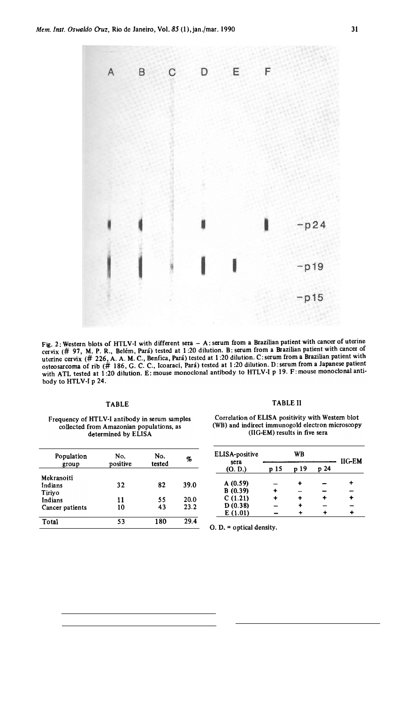

Fig. 2: Western blots of HTLV-I with different sera - A: serum from a Brazilian patient with cancer of uterine cervix (# 97, M. P. R., Belém, Pará) tested at 1:20 dilution. B: serum from a Brazilian patient with cancer of uterine cervix (# 226, A. A. M. C., Benfica, Pará) tested at 1:20 dilution. C: serum from a Brazilian patient with osteosarcoma of rib (# 186, G. C. C., Icoaraci, Pará) tested at 1:20 dilution. D:serum from a Japanese patient with ATL tested at 1:20 dilution. E: mouse monoclonal antibody to HTLV-I p 19. F: mouse monoclonal antibody to HTLV-I p 24.

## Frequency of HTLV-I antibody in serum samples collected from Amazonian populations, as determined by ELISA

| No.<br>positive | No.<br>tested | %    |
|-----------------|---------------|------|
|                 |               |      |
| 32              | 82            | 39.0 |
|                 |               |      |
| 11              | 55            | 20.0 |
| 10              | 43            | 23.2 |
| 53              | 180           | 29.4 |
|                 |               |      |

## TABLE TABLE 11

## Correlation or ELlSA positivity with Westem blot (WB) and indirect immunogold electron microscopy (IIG-EM) results in five sera

| No.     | No.    | %    | ELISA-positive | WB   |      |      | <b>IIG-EM</b> |
|---------|--------|------|----------------|------|------|------|---------------|
| ositive | tested |      | sera<br>(O, D) | p 15 | p 19 | p 24 |               |
| 32      | 82     | 39.0 | A(0.59)        |      | ٠    |      |               |
|         |        |      | B(0.39)        | +    |      |      |               |
| 11      | 55     | 20.0 | C(1.21)        | ÷    | ۰    |      |               |
| 10      | 43     | 23.2 | D(0.38)        |      | ٠    |      |               |
|         |        |      | E(1.01)        |      | +    | ۰    |               |

 $O. D.$  = optical density.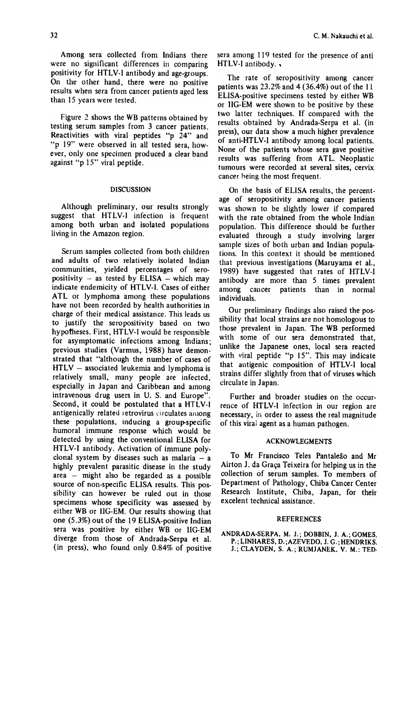Among sera collected from Indians there were no significant differences in comparing positivity for HTLY-I antibody and age-groups. On the other hand, there were no positive results when sera from cancer patients aged less than 15 years were tested.

Figure 2 shows the WB patterns obtained by testing serum samples from 3 cancer patients. Reactivities with viral peptides " $p$   $24$ " and "p 19" were observed in all tested sera, however, only one specimen produced a clear band against "p 15" viral peptide.

#### DISCUSSION

Although preliminary, our results strongly suggest that HTLV-I infection is frequent among both urban and isolated populations living in the Amazon region.

Serum samples collected from both children and adults of two relatively isolated Indian communities, yielded percentages of seropositivity  $-$  as tested by ELISA  $-$  which may indicate endemicity of HTLV-I. Cases of either ATL or lymphoma among these populations have not been recorded by health authorities in charge of their medical assistance. This leads us to justify the seropositivity based on two hypotheses. First, HTLV-I would be responsible for asymptomatic infections among Indians; previous studies (Varmus, 1988) have demonstrated that "although the number of cases of  $HTLV -$  associated leukemia and lymphoma is relatively small, many people are infected. especially in Japan and Caribbean and among intravenous drug users in U. S. and Europe". Second, it could be postulated that a HTLV-I antigenically related retrovirus circulates among these populations. inducing a group-specific humoral immune response which would be detected by using the conventional ELISA for HTLV-I antibody. Activation of immune polyclonal system by diseases such as malaria  $-$  a highly prevalent parasitic disease in the study  $area$  - might also be regarded as a possible source of non-specific ELISA results. This possibility can however be ruled out in those specimens whose specificity was assessed by either WB or IIG-EM. Our results showing that one (5.3%) out of the 19 ELISA-positive lndian sera was positive by either WB or IIG-EM diverge from those of Andrada-Serpa et aI. (in press), who found only 0.84% of positive

sera among 119 tested for the presence of anti HTLV-I antibody. .

The rate of seropositivity among cancer patients was 23.2% and 4 (36.4%) out of the 11 ELlSA-positive specimens tested by either WB or IIG-EM were shown to be positive by these two latter techniques. If compared with the results obtained by Andrada-Serpa et ai. (in press), our data show a much higher prevalence of anti-HTLV-I antibody among local patients. None of the patients whose sera gave positive results was suffering from ATL. Neoplastic tumours were recorded at several sites, cervix cancer being the most frequent.

On the basis of ELlSA results, the percentage of seropositivity among cancer patients was shown to be slightly lower if compared with the rate obtained from the whole Indian population. This difference should be further evaluated through a study involving larger sample sizes of both urban and Indian populations. In this context it should be mentioned that previous investigations (Maruyama et ai., 1989) have suggested that rates of HTLV-I antibody are more than 5 times prevalent among cancer patients than in normal individuaIs.

Our preliminary findings also raised the possibility that local strains are not homologous to those prevalent in Japan. The WB performed with some of our sera demonstrated that, unlike the Japanese ones, local sera reacted with viral peptide "p 15". This may indicate that antigenic composition of HTLV-I local strains differ slightly from that of viruses which circulate in Japan.

Further and broader studies on the occurrence of HTLV-I infection in our region are necessary, in order to assess the real magnitude of this viral agent as a human pathogen.

#### **ACKNOWLEGMENTS**

To Mr Francisco Teles Pantaleão and Mr Airton J. da Graça Teixeira for helping us in the collection of serum samples. To members of Department of Pathology, Chiba Cancer Center Research lnstitute, Chiba, Japan, for their excelent technical assistance.

#### REfERENCES

ANDRADA-SERPA, M. J.; DOBBIN, J. A.; GOMES, P.;LINHARES, D.;AZEVEDO, J. G.;HENDRIKS. J.; CLAYDEN, S. A.; RUMJANEK, V. M.; TED-